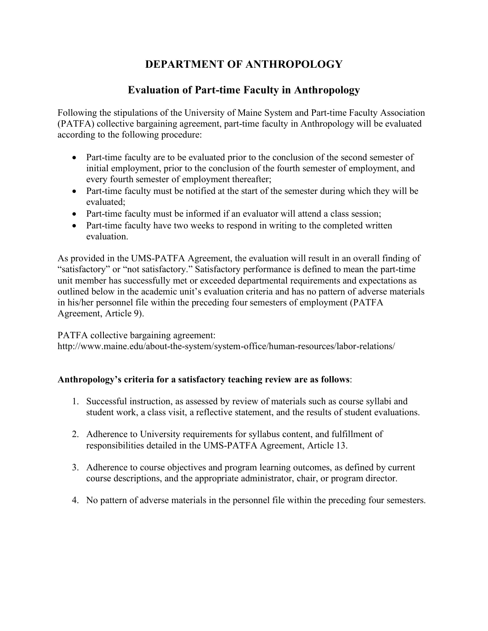## **DEPARTMENT OF ANTHROPOLOGY**

## **Evaluation of Part-time Faculty in Anthropology**

Following the stipulations of the University of Maine System and Part-time Faculty Association (PATFA) collective bargaining agreement, part-time faculty in Anthropology will be evaluated according to the following procedure:

- Part-time faculty are to be evaluated prior to the conclusion of the second semester of initial employment, prior to the conclusion of the fourth semester of employment, and every fourth semester of employment thereafter;
- Part-time faculty must be notified at the start of the semester during which they will be evaluated;
- Part-time faculty must be informed if an evaluator will attend a class session;
- Part-time faculty have two weeks to respond in writing to the completed written evaluation.

As provided in the UMS-PATFA Agreement, the evaluation will result in an overall finding of "satisfactory" or "not satisfactory." Satisfactory performance is defined to mean the part-time unit member has successfully met or exceeded departmental requirements and expectations as outlined below in the academic unit's evaluation criteria and has no pattern of adverse materials in his/her personnel file within the preceding four semesters of employment (PATFA Agreement, Article 9).

PATFA collective bargaining agreement:

http://www.maine.edu/about-the-system/system-office/human-resources/labor-relations/

## **Anthropology's criteria for a satisfactory teaching review are as follows**:

- 1. Successful instruction, as assessed by review of materials such as course syllabi and student work, a class visit, a reflective statement, and the results of student evaluations.
- 2. Adherence to University requirements for syllabus content, and fulfillment of responsibilities detailed in the UMS-PATFA Agreement, Article 13.
- 3. Adherence to course objectives and program learning outcomes, as defined by current course descriptions, and the appropriate administrator, chair, or program director.
- 4. No pattern of adverse materials in the personnel file within the preceding four semesters.